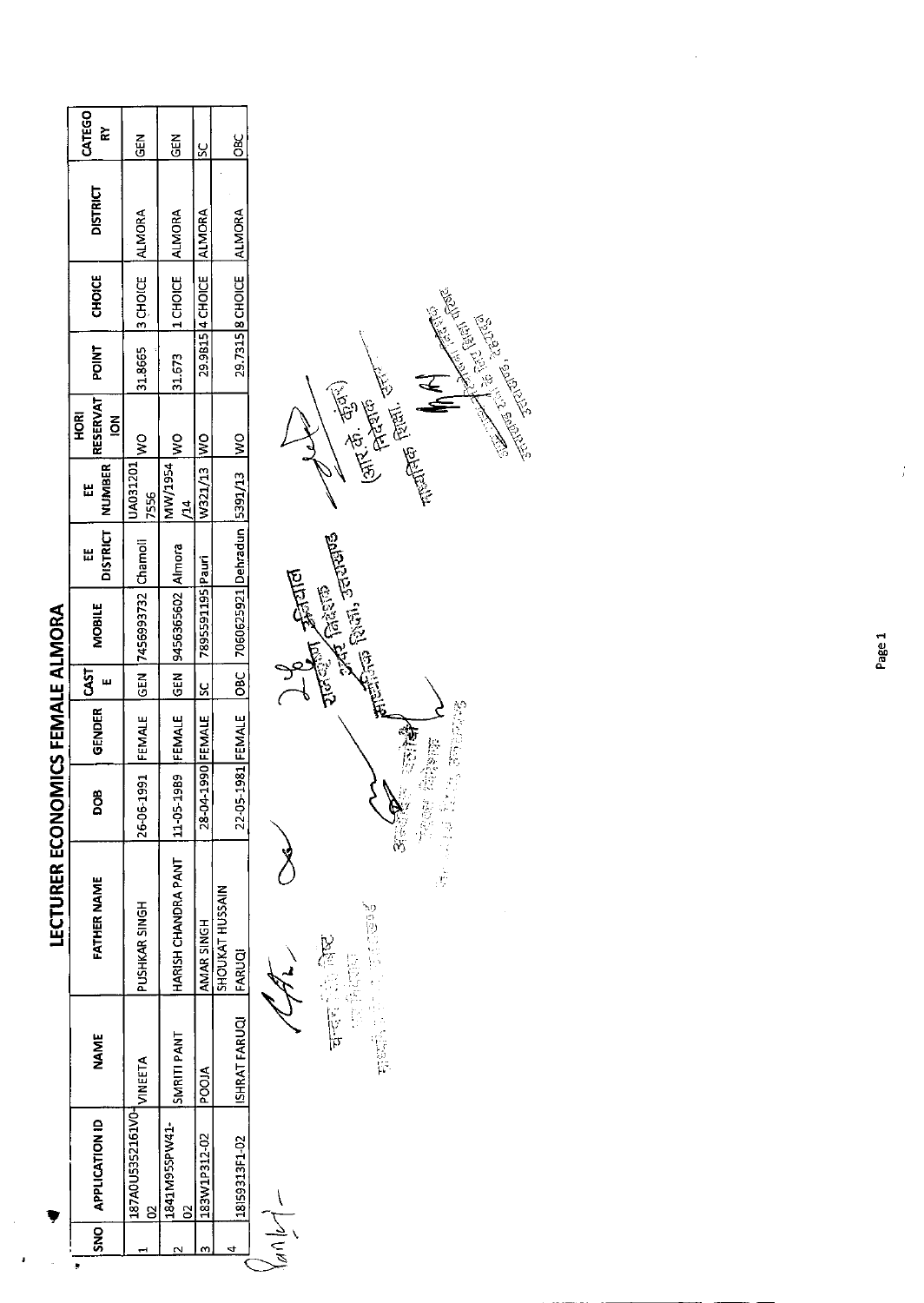$\ddot{\phantom{0}}$ 

 $\cdot$ 

| $\bar{\mathbf{s}}$ | <b>APPLICATION ID</b> | <b>NAME</b>    | <b>FATHER NAME</b>        | ∞<br>g                                   | GENDER | CAST | MOBILE                           | Ш | DISTRICT   NUMBER<br>出                          | <b>RESERVAT</b><br>HORI<br>$\overline{6}$ | <b>POINT</b> | <b>CHOICE</b>             | <b>DISTRICT</b> | CATEGO<br>ř |
|--------------------|-----------------------|----------------|---------------------------|------------------------------------------|--------|------|----------------------------------|---|-------------------------------------------------|-------------------------------------------|--------------|---------------------------|-----------------|-------------|
|                    | 187A0U5352161V0-      | <b>VINEETA</b> | PUSHKAR SINGH             | 26-06-1991 FEMALE GEN 7456993732 Chamoli |        |      |                                  |   | OML <sub>EOV</sub> ITOZEOV <sup>1</sup><br>7556 |                                           |              | 31.8665 3 CHOICE ALMORA   |                 | $rac{5}{6}$ |
|                    | 1841M95SPW41-         | SMRITI PANT    | HARISH CHANDRA PANT       | 989<br>$ 11 - 05 - 1$                    |        |      | FEMALE GEN 9456365602 Almora     |   | MW/1954<br>$\mathbf{z}$                         | $\frac{1}{2}$                             | 31.673       | 11 CHOICE ALMORA          |                 | <b>GEN</b>  |
|                    | 183W1P312-02          | POOIA          | AMAR SINGH                | 28-04-1990 FEMALE SC                     |        |      | 7895591195 Pauri                 |   | W321/13  WO                                     |                                           |              | 29.9B15 4 CHOICE          | ALMORA          | ပ္ပ         |
|                    | 18159313F1-02         | ISHRAT FARUQI  | SHOUKAT HUSSAIN<br>FARUQI | 22-05-1981 FEMALE OBC                    |        |      | 7060625921 Dehradun  5391/13  WO |   |                                                 |                                           |              | 29.7315 8 CHOICE   ALMORA |                 | Эяс<br>Овс  |
|                    | $-100$                |                |                           |                                          |        |      | <b>CARD</b>                      |   |                                                 |                                           |              |                           |                 |             |



Page 1

 $\frac{1}{2}$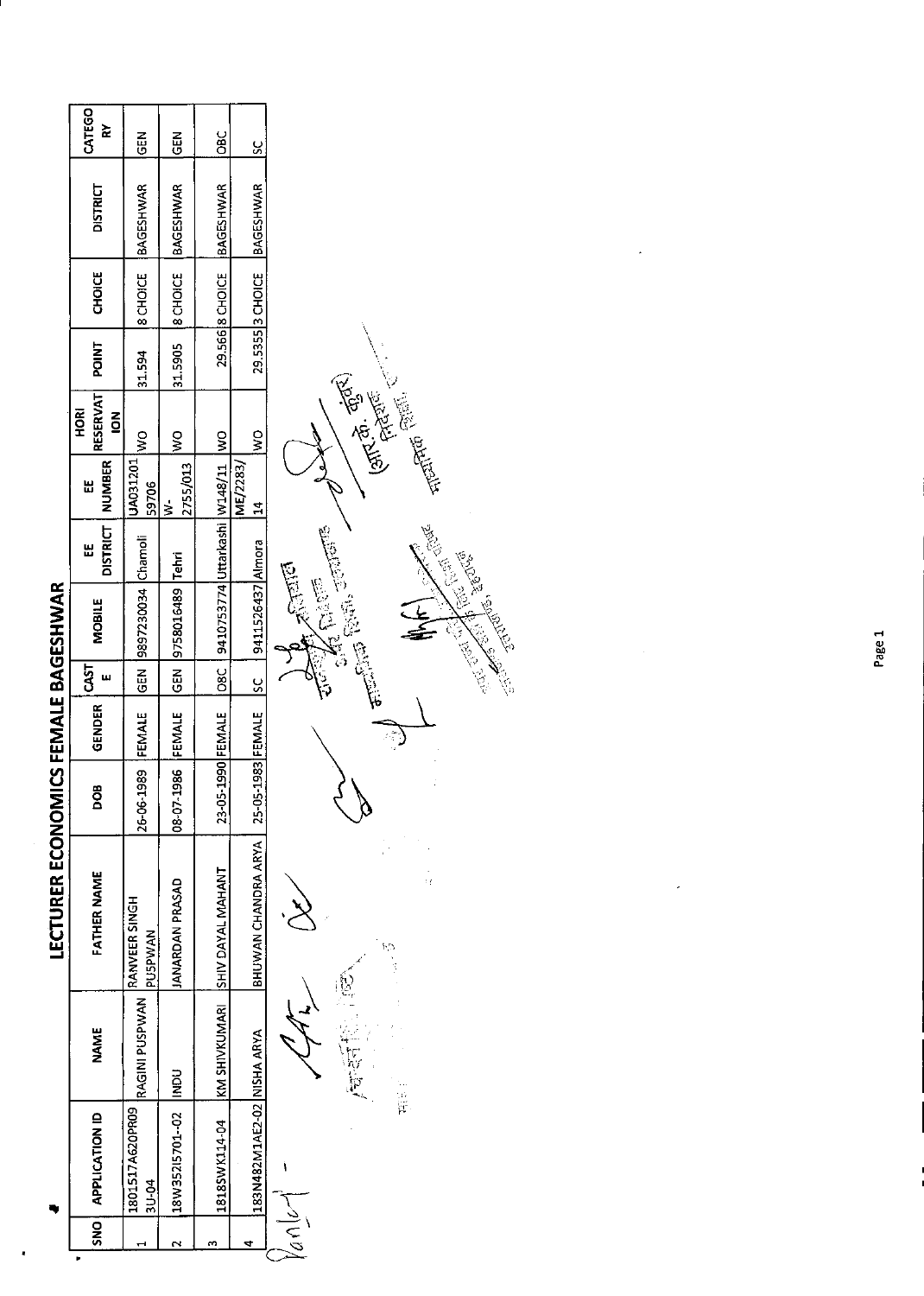**IFCTURER FCONOMICS FEMALE RAGESHWAR** 

|            |                            |                       |                                        |                   |        |               | <b>THANG DATE DATE AND ANNOUNCE OF A SERIOR OF A SERIOR CONTRACT OF A SERIOR OF A SERIOR CONTRACT OF A SERIOR CONTR</b>                                                                                                                                                                                                                                                                                |                      |                                   |                                                 |             |                  |                  |             |
|------------|----------------------------|-----------------------|----------------------------------------|-------------------|--------|---------------|--------------------------------------------------------------------------------------------------------------------------------------------------------------------------------------------------------------------------------------------------------------------------------------------------------------------------------------------------------------------------------------------------------|----------------------|-----------------------------------|-------------------------------------------------|-------------|------------------|------------------|-------------|
| <b>DNS</b> | <b>APPLICATION ID</b>      | <b>NAME</b>           | <b>FATHER NAME</b>                     | ₾<br>ဠ            | GENDER | 5d            | MOBILE                                                                                                                                                                                                                                                                                                                                                                                                 | <b>DISTRICT</b><br>出 | <b>NUMBER</b><br>띲                | <b>RESERVAT</b><br><b>AORI</b><br>$\frac{2}{9}$ | <b>TAIO</b> | <b>CHOICE</b>    | <b>DISTRICT</b>  | CATEGO<br>≿ |
|            | 1801517A620PR09<br>3U-04   | <b>RAGINI PUSPWAN</b> | <b>RANVEER SINGH</b><br><b>PUSPWAN</b> | 26-06-1989        | FEMALE | $rac{1}{5}$   | 9897230034 Chamoli                                                                                                                                                                                                                                                                                                                                                                                     |                      | UA031201<br>59706                 | $\frac{8}{2}$                                   | 31.594      | 8CHOICE          | BAGESHWAR        | $rac{1}{2}$ |
|            | 18W35215701-02             | $\frac{1}{2}$         | <b>JANARDAN PRASAD</b>                 | 08-07-1986        | FEMALE | <u>ទី</u>     | 9758016489 Tehri                                                                                                                                                                                                                                                                                                                                                                                       |                      | 2755/013<br>$\geq$                | ş                                               | 31.5905     | <b>8</b> CHOICE  | <b>BAGESHWAR</b> | <b>EB</b>   |
|            | 1818SWK114-04              |                       | KM SHIVKUMARI SHIV DAYAL MAHANT        | 23-05-1990 FEMALE |        | $rac{1}{280}$ | 9410753774 Uttarkashi   W148/11   WO                                                                                                                                                                                                                                                                                                                                                                   |                      |                                   |                                                 |             | 29.566 8 CHOICE  | <b>BAGESHWAR</b> | OBC         |
|            | 183N482M1AE2-02 NISHA ARYA |                       | BHUWAN CHANDRA ARYA                    | 25-05-1983 FEMALE |        | <u>sc</u>     | 9411526437 Almora                                                                                                                                                                                                                                                                                                                                                                                      |                      | <b>ME/2283/</b><br>$\overline{a}$ | ş                                               |             | 29.5355 3 CHOICE | BAGESHWAR        | <u>ي</u>    |
| しことの       | ١                          |                       |                                        |                   |        |               | $\frac{1}{2} \sum_{n=0}^{\infty} \frac{1}{n} \sum_{n=0}^{\infty} \frac{1}{n} \sum_{n=0}^{\infty} \frac{1}{n} \sum_{n=0}^{\infty} \frac{1}{n} \sum_{n=0}^{\infty} \frac{1}{n} \sum_{n=0}^{\infty} \frac{1}{n} \sum_{n=0}^{\infty} \frac{1}{n} \sum_{n=0}^{\infty} \frac{1}{n} \sum_{n=0}^{\infty} \frac{1}{n} \sum_{n=0}^{\infty} \frac{1}{n} \sum_{n=0}^{\infty} \frac{1}{n} \sum_{n$<br><b>ASSESS</b> |                      |                                   | <b>CARE OF THE REAL PROPERTY</b>                |             |                  |                  |             |

**CONTES ENERGY CENTRAC** STATE OF **CENTRAL REPORT** Company of the Company of the Company of the Company of the Company of the Company of the Company of the Compa<br>Company of the Company of the Company of the Company of the Company of the Company of the Company of the Compan  $\begin{aligned} \lim_{t\to\infty}\sup_{t\in\mathbb{R}^n}\sup_{t\in\mathbb{R}^n}\mathbb{E}^{(t)}\left\{ \mathbb{E}^{(t)}_{t}(\mathbf{0},t)\right\} \end{aligned}$ JE  $\begin{picture}(20,20) \put(0,0){\line(1,0){10}} \put(15,0){\line(1,0){10}} \put(15,0){\line(1,0){10}} \put(15,0){\line(1,0){10}} \put(15,0){\line(1,0){10}} \put(15,0){\line(1,0){10}} \put(15,0){\line(1,0){10}} \put(15,0){\line(1,0){10}} \put(15,0){\line(1,0){10}} \put(15,0){\line(1,0){10}} \put(15,0){\line(1,0){10}} \put(15,0){\line(1$ 医子宫 ich<br>T

**有限** 

 $\ddot{\phantom{0}}$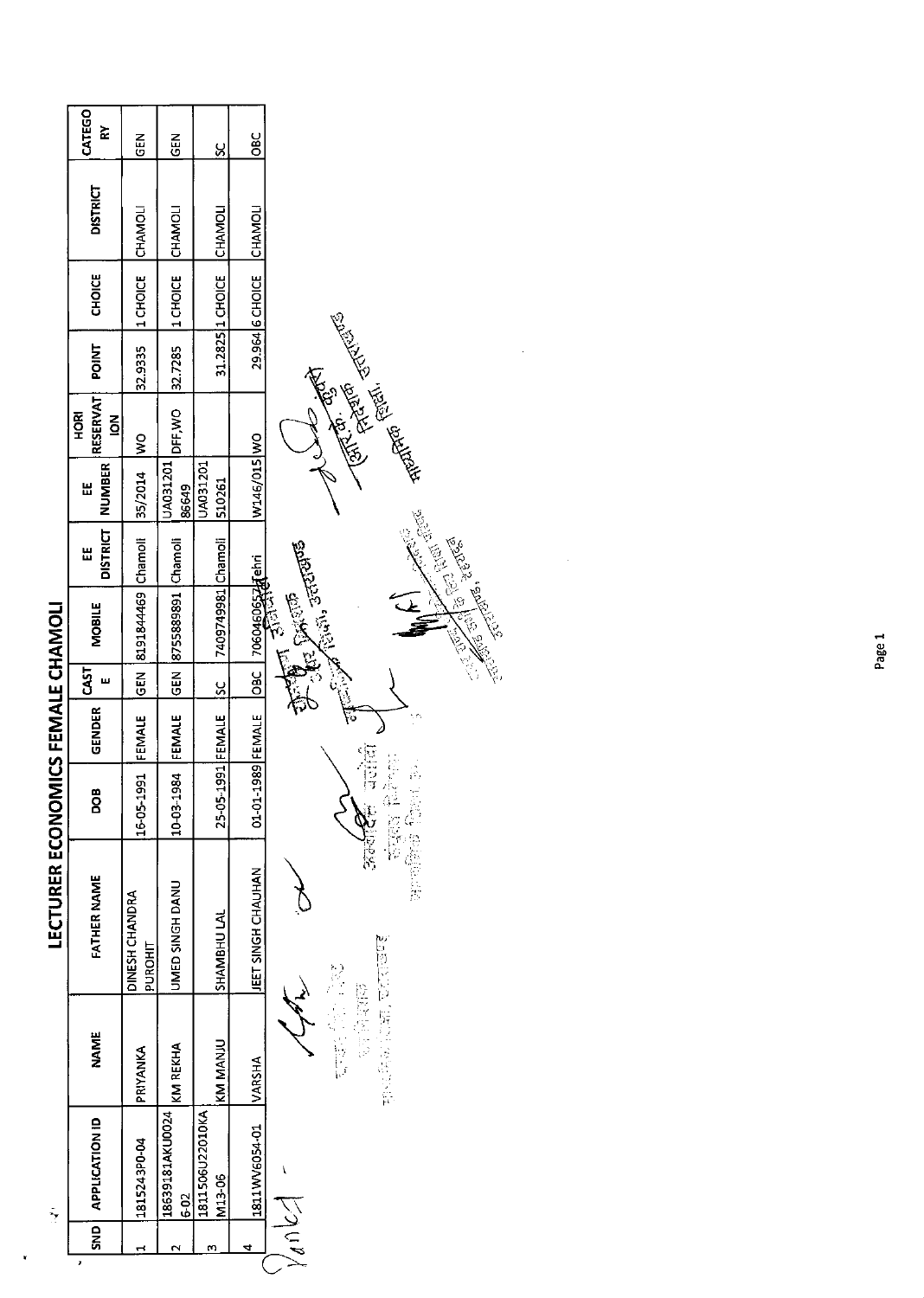|                             | CATEGO<br>È                          | ER<br>5                   | <b>GEN</b>                  | <u>ន</u>                  | OBC                       |                                                                                                                                                                                                                                      |
|-----------------------------|--------------------------------------|---------------------------|-----------------------------|---------------------------|---------------------------|--------------------------------------------------------------------------------------------------------------------------------------------------------------------------------------------------------------------------------------|
|                             | <b>DISTRICT</b>                      | CHAMOLI                   | <b>CHAMOL</b>               | CHAMOL                    | CHAMOL                    |                                                                                                                                                                                                                                      |
|                             | <b>CHOICE</b>                        | 1 CHOICE                  | 1 CHOICE                    | 31.2825   1 CHOICE        | 29.964 6 CHOICE           |                                                                                                                                                                                                                                      |
|                             | <b>POINT</b>                         | 32.9335                   | 32.7285                     |                           |                           |                                                                                                                                                                                                                                      |
|                             | RESERVAT<br>혼<br>모<br>$\overline{6}$ | $\frac{8}{2}$             | DFF, WO                     |                           |                           |                                                                                                                                                                                                                                      |
|                             | <b>NUMBER</b><br>띮                   | 35/2014                   | UA031201<br>86649           | UA031201<br>510261        | W146/015 WO               | <b>Collage Collage Report Collage Report Collage Report Collage Report Collage Report Collage Report Collage Report Collage Report Collage Report Collage Report Collage Report Collage Report Collage Report Collage Report Col</b> |
|                             | <b>DISTRICT</b><br>出                 |                           |                             |                           |                           |                                                                                                                                                                                                                                      |
|                             | <b>MOBILE</b>                        | 8191844469 Chamoli        | 8755889891 Chamoli          | 7409749981 Chamoli        |                           | Charles Report of Charles Report<br>$\mathcal{J}^{(2)}(\mathbb{Z}^n)$ and $\mathbb{Z}^n$<br>170604606524 ehri<br>- YE DAO                                                                                                            |
|                             | <b>LST</b><br>ш                      | $rac{5}{6}$               | <b>GEN</b>                  | <u>ss</u>                 | <b>DBC</b>                | E<br><b>Call Control</b>                                                                                                                                                                                                             |
| <b>VIICS FEMALE CHAMOLI</b> | <b>GENDER</b>                        | FEMALE                    | FEMALE                      |                           |                           | फ़                                                                                                                                                                                                                                   |
|                             | <b>BOD</b>                           | 16-05-1991                | 10-03-1984                  | 25-05-1991 FEMALE         | 01-01-1989 FEMALE         | 可记忆<br>医乳样 高等板<br>高山                                                                                                                                                                                                                 |
| <b>LECTURER ECONO</b>       | <b>FATHER NAME</b>                   | DINESH CHANDRA<br>PUROHIT | UMED SINGH DANU             | SHAMBHU LAL               | <b>JEET SINGH CHAUHAN</b> | 医起 的复数医法药<br>ive<br>N                                                                                                                                                                                                                |
|                             | <b>NAME</b>                          | PRIYANKA                  | <b>KM REKHA</b>             | KM MANJU                  | <b>NARSHA</b>             | <b>REPORT SECTION PROPER</b><br>2010年10月<br>12时,清明的                                                                                                                                                                                  |
| ÷                           | <b>APPLICATION ID</b>                | 1815243P0-04              | 18639181AKU0024<br>$6 - 02$ | 1811506U22010KA<br>M13-06 | 1811WV6054-01             | I                                                                                                                                                                                                                                    |
|                             | ត្ត<br>ន<br>F                        | ÷                         | $\mathbf{\sim}$             | m                         | 4                         | $\frac{1}{2}$                                                                                                                                                                                                                        |

 $\mathbf{r}$ 

Page 1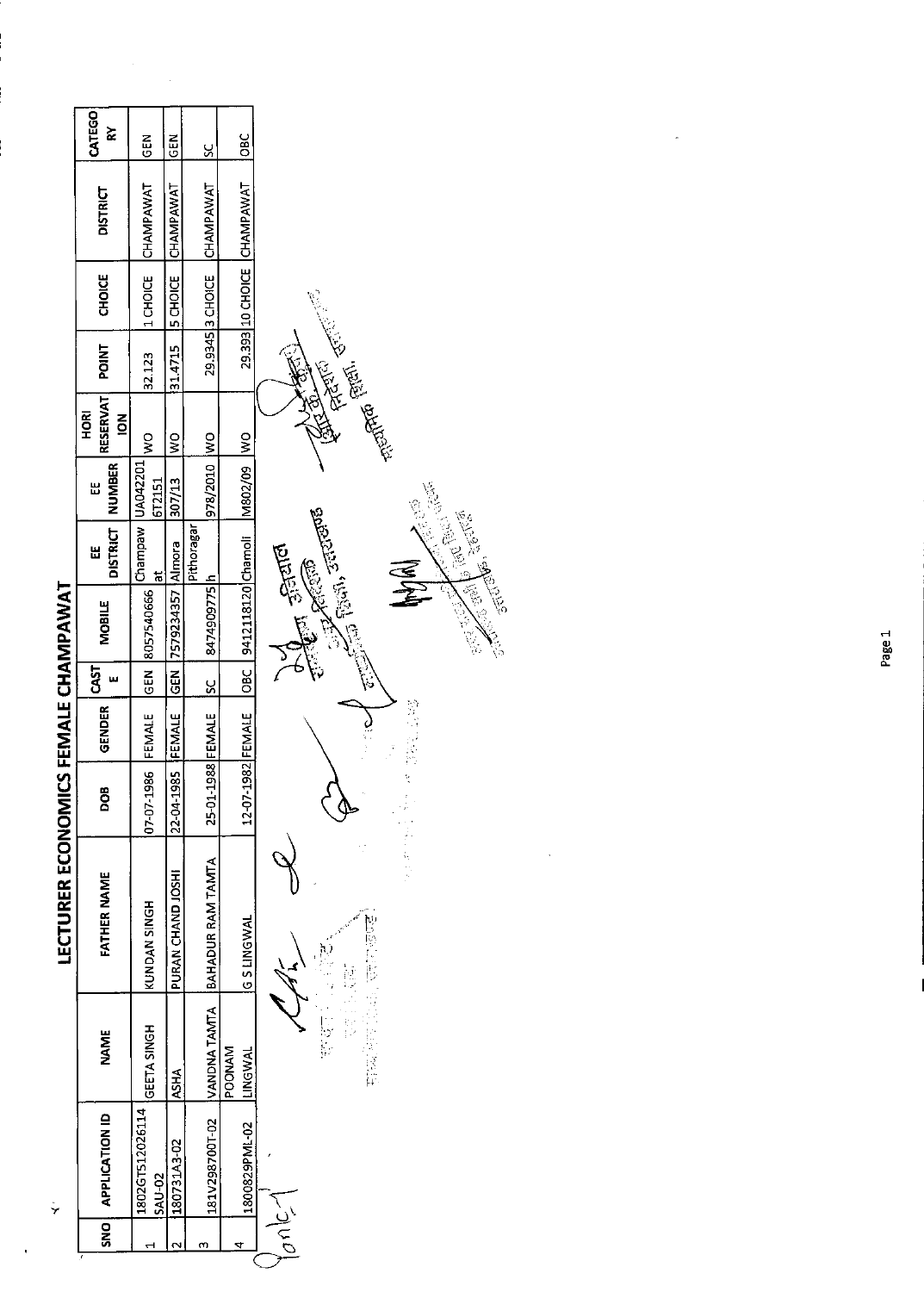| <b>IICS FEMALE CHAMPAWAT</b><br><b>LECTURER ECONOM</b> | CATEGO<br>⋩<br><b>DISTRICT</b><br><b>CHOICE</b><br><b>POINT</b><br>RESERVAT<br>HORI<br>$\overline{6}$<br><b>NUMBER</b><br>Ш<br><b>DISTRICT</b><br>띮<br><b>MOBILE</b><br>CAST<br>ш<br><b>GENDER</b><br><b>BOG</b><br><b>FATHER NAME</b><br><b>NAME</b> | <b>GEN</b><br>CHAMPAWAT<br>1 CHOICE<br>32.123<br>ş<br>UA042201<br>672151<br>Champaw  <br>$\frac{1}{6}$<br>8057540666<br><b>GEN</b><br>FEMALE<br>07-07-1986<br>KUNDAN SINGH<br>GEETA SINGH | <b>SEN</b><br>CHAMPAWAT<br>5 CHOICE<br>31.4715<br>$\frac{8}{3}$<br>307/13<br>[7579234357 Almora<br>GEN<br>FEMALE<br>22-04-1985<br>PURAN CHAND JOSHI<br><b>ASHA</b> | <u>y</u><br>CHAMPAWAT<br>29.9345 3 CHOICE<br>$\frac{8}{2}$<br>978/2010<br>Pithoragar<br>8474909775h<br><u>sc</u><br>25-01-1988 FEMALE<br>BAHADUR RAM TAMTA<br>VANDNA TAMTA | $rac{C}{C}$<br>29.393 10 CHOICE CHAMPAWAT<br>$\frac{8}{2}$<br>M802/09<br>9412118120 Chamoli<br>$rac{1}{26}$<br>12-07-1982 FEMALE<br><b>G S LINGWAL</b><br><b>POONAM</b><br><b>INGWAL</b> | <b>REATH CENTS</b><br>Contractor of the Contractor of the Contractor<br><b>Controller School Control</b><br>Control Control Control Control<br>$\widetilde{\mathbb{Z}}$<br>分分<br>$\frac{2}{3}$<br>đ,<br>j.<br>D<br>$\begin{array}{c} 1 \\ 1 \\ 2 \end{array}$<br>リンド |
|--------------------------------------------------------|-------------------------------------------------------------------------------------------------------------------------------------------------------------------------------------------------------------------------------------------------------|-------------------------------------------------------------------------------------------------------------------------------------------------------------------------------------------|--------------------------------------------------------------------------------------------------------------------------------------------------------------------|----------------------------------------------------------------------------------------------------------------------------------------------------------------------------|------------------------------------------------------------------------------------------------------------------------------------------------------------------------------------------|----------------------------------------------------------------------------------------------------------------------------------------------------------------------------------------------------------------------------------------------------------------------|
|                                                        |                                                                                                                                                                                                                                                       |                                                                                                                                                                                           |                                                                                                                                                                    |                                                                                                                                                                            |                                                                                                                                                                                          |                                                                                                                                                                                                                                                                      |
| ÿ                                                      | <b>APPLICATION ID</b>                                                                                                                                                                                                                                 | 1802GT512026114<br><b>SAU-02</b>                                                                                                                                                          | 180731A3-02                                                                                                                                                        | 181V298700T-02                                                                                                                                                             | 1800829PML-02                                                                                                                                                                            |                                                                                                                                                                                                                                                                      |
|                                                        | SNO                                                                                                                                                                                                                                                   |                                                                                                                                                                                           | $\sim$                                                                                                                                                             | m                                                                                                                                                                          | 4                                                                                                                                                                                        | 1010<1                                                                                                                                                                                                                                                               |

ł

 $\ddot{\phantom{0}}$ 

 $\frac{1}{2}$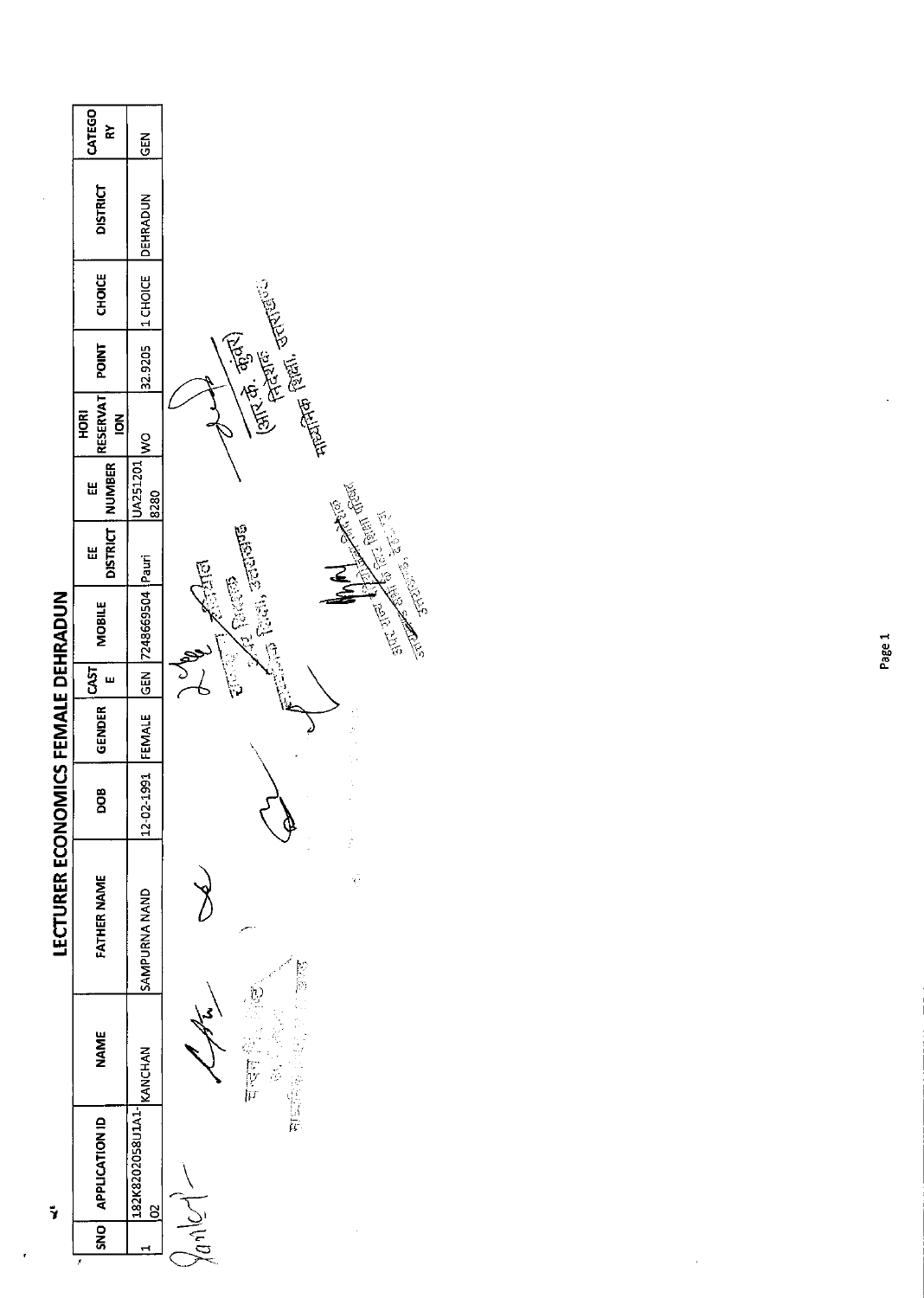|                                    | CATEGO<br>Š                              | 집<br>영                                      |                                                                                                                                                                                                                                 |
|------------------------------------|------------------------------------------|---------------------------------------------|---------------------------------------------------------------------------------------------------------------------------------------------------------------------------------------------------------------------------------|
|                                    | <b>DISTRICT</b>                          | DEHRADUN                                    |                                                                                                                                                                                                                                 |
|                                    | <b>CHOICE</b>                            | 1 CHOICE                                    |                                                                                                                                                                                                                                 |
|                                    | <b>POINT</b>                             | 32.9205                                     |                                                                                                                                                                                                                                 |
|                                    | <b>RESERVAT</b><br>HORI<br>$\frac{8}{5}$ | $rac{1}{2}$                                 | الطلايات المعلومين المعلمين المستشرقين المستشرقين المستشرقين المستشرقين المستشرقين المستشرقين المستشرقين المست<br>المستشرقين المستشرقين المستشرقين المستشرقين المستشرقين المستشرقين المستشرقين المستشرقين المستشرقين المستشرقين |
|                                    | NUMBER<br>Ш                              | UA251201<br>8280                            |                                                                                                                                                                                                                                 |
|                                    | <b>DISTRICT</b><br>띮                     |                                             |                                                                                                                                                                                                                                 |
|                                    | <b>MOBILE</b>                            | 7248669504 Pauri                            | STERN ROOM AND ACTION COMPANY<br>enterial Parti, scriptor<br>大门<br>Al Pacto                                                                                                                                                     |
|                                    | <b>CAST</b><br>ш                         | $\frac{1}{65}$                              |                                                                                                                                                                                                                                 |
|                                    | GENDER                                   | FEMALE                                      |                                                                                                                                                                                                                                 |
|                                    | <b>BOO</b>                               | 12-02-1991                                  | $\frac{1}{2}$                                                                                                                                                                                                                   |
| LECTURER ECONOMICS FEMALE DEHRADUN | <b>FATHER NAME</b>                       | SAMPURNA NAND                               | ĝ                                                                                                                                                                                                                               |
|                                    | <b>NAME</b>                              |                                             | ें पहन<br>中国家                                                                                                                                                                                                                   |
| Ÿ                                  | SNO APPLICATION ID                       | 132K8202058U1A1-<br>KANCHAN<br>$\mathbf{S}$ |                                                                                                                                                                                                                                 |
|                                    |                                          |                                             |                                                                                                                                                                                                                                 |
|                                    | Ĵ.                                       |                                             |                                                                                                                                                                                                                                 |

ł

 $\hat{\boldsymbol{\theta}}$ 

Page 1

 $\tilde{\mathcal{E}}$ 

 $\ddot{\phantom{a}}$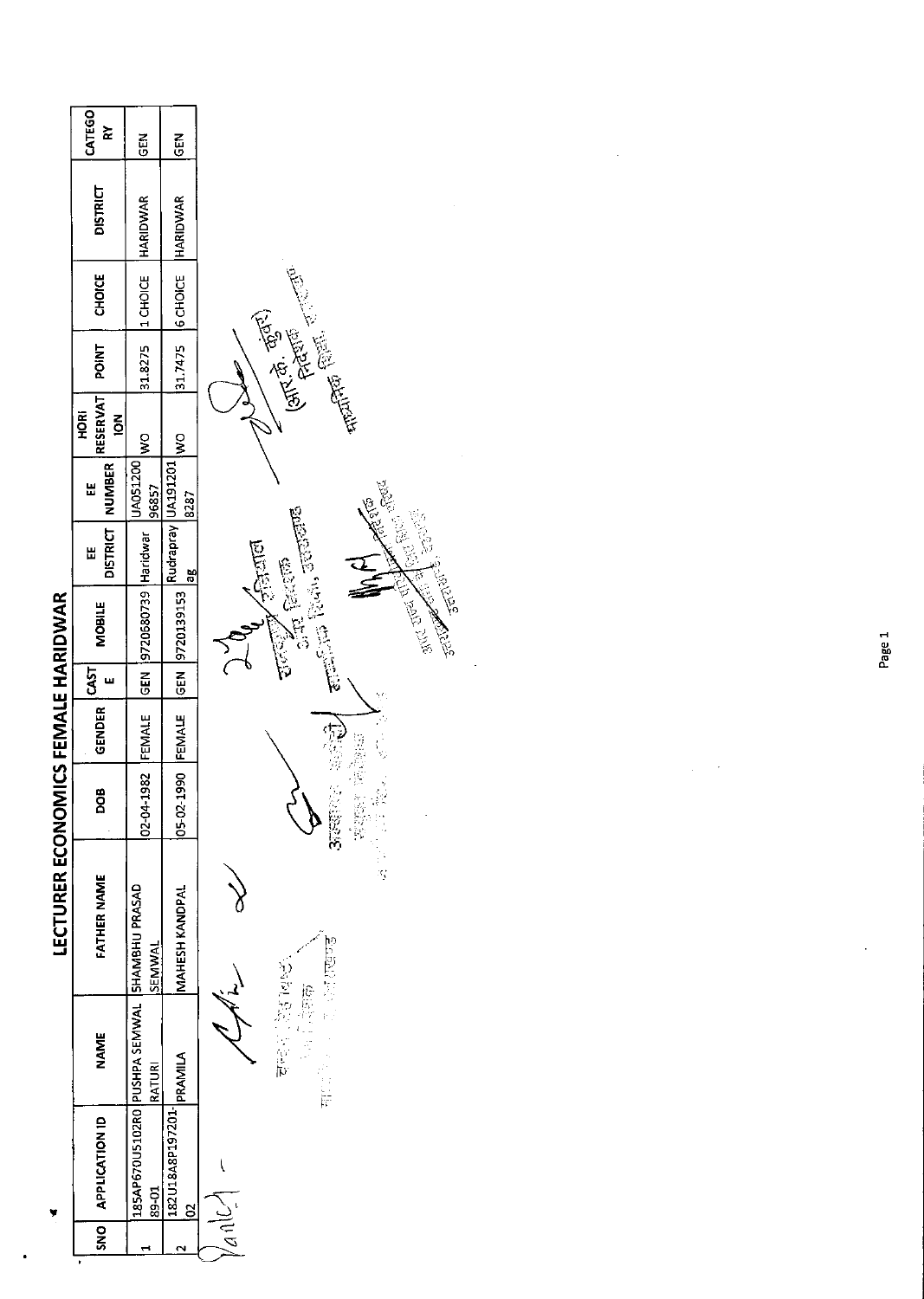| $rac{5}{6}$<br>$\frac{5}{5}$<br>31.7475   6 CHOICE   HARIDWAR<br>31.8275  1 CHOICE  HARIDWAR<br>$\begin{array}{ c c c c c c c c c } \hline & \text{if } \text{FEMALE} & \text{if } \text{FEM20139153} & \text{Rudrapray} & \text{J121201} & \text{J100} \\ \hline \end{array}$<br>LUAOS1200 WO<br>96857<br>8287<br>02-04-1982 FEMALE GEN 9720680739 Haridwar<br>ăβ<br>185AP670U5102R0 PUSHPA SEMWAL SHAMBHU PRASAD<br><b>MAHESH KANDPAL</b><br>SEMWAL<br><b>182U18A8P197201- PRAMILA</b><br>RATURI<br>$39-01$ | r | SNO   APPLICATION ID | <b>NAME</b> | LECTURER ECONOMICS FEMALE HARIDWAR<br><b>FATHER NAME</b> | 8OQ | <b>GENDER</b> | $\frac{1}{2}$ | <b>MOBILE</b> | Ш | DISTRICT NUMBER<br>Ш | RESERVAT POINT<br><b>ROK</b> | CHOICE | <b>DISTRICT</b> | CATEGO<br>≿ |
|---------------------------------------------------------------------------------------------------------------------------------------------------------------------------------------------------------------------------------------------------------------------------------------------------------------------------------------------------------------------------------------------------------------------------------------------------------------------------------------------------------------|---|----------------------|-------------|----------------------------------------------------------|-----|---------------|---------------|---------------|---|----------------------|------------------------------|--------|-----------------|-------------|
|                                                                                                                                                                                                                                                                                                                                                                                                                                                                                                               |   |                      |             |                                                          |     |               |               |               |   |                      | $\overline{5}$               |        |                 |             |
|                                                                                                                                                                                                                                                                                                                                                                                                                                                                                                               |   |                      |             |                                                          |     |               |               |               |   |                      |                              |        |                 |             |
|                                                                                                                                                                                                                                                                                                                                                                                                                                                                                                               |   |                      |             |                                                          |     |               |               |               |   |                      |                              |        |                 |             |
|                                                                                                                                                                                                                                                                                                                                                                                                                                                                                                               |   |                      |             |                                                          |     |               |               |               |   |                      |                              |        |                 |             |
|                                                                                                                                                                                                                                                                                                                                                                                                                                                                                                               |   |                      |             |                                                          |     |               |               |               |   |                      |                              |        |                 |             |
|                                                                                                                                                                                                                                                                                                                                                                                                                                                                                                               |   |                      |             |                                                          |     |               |               |               |   |                      |                              |        |                 |             |
| )<br>(                                                                                                                                                                                                                                                                                                                                                                                                                                                                                                        |   |                      |             | へんで                                                      |     |               |               |               |   |                      |                              |        |                 |             |

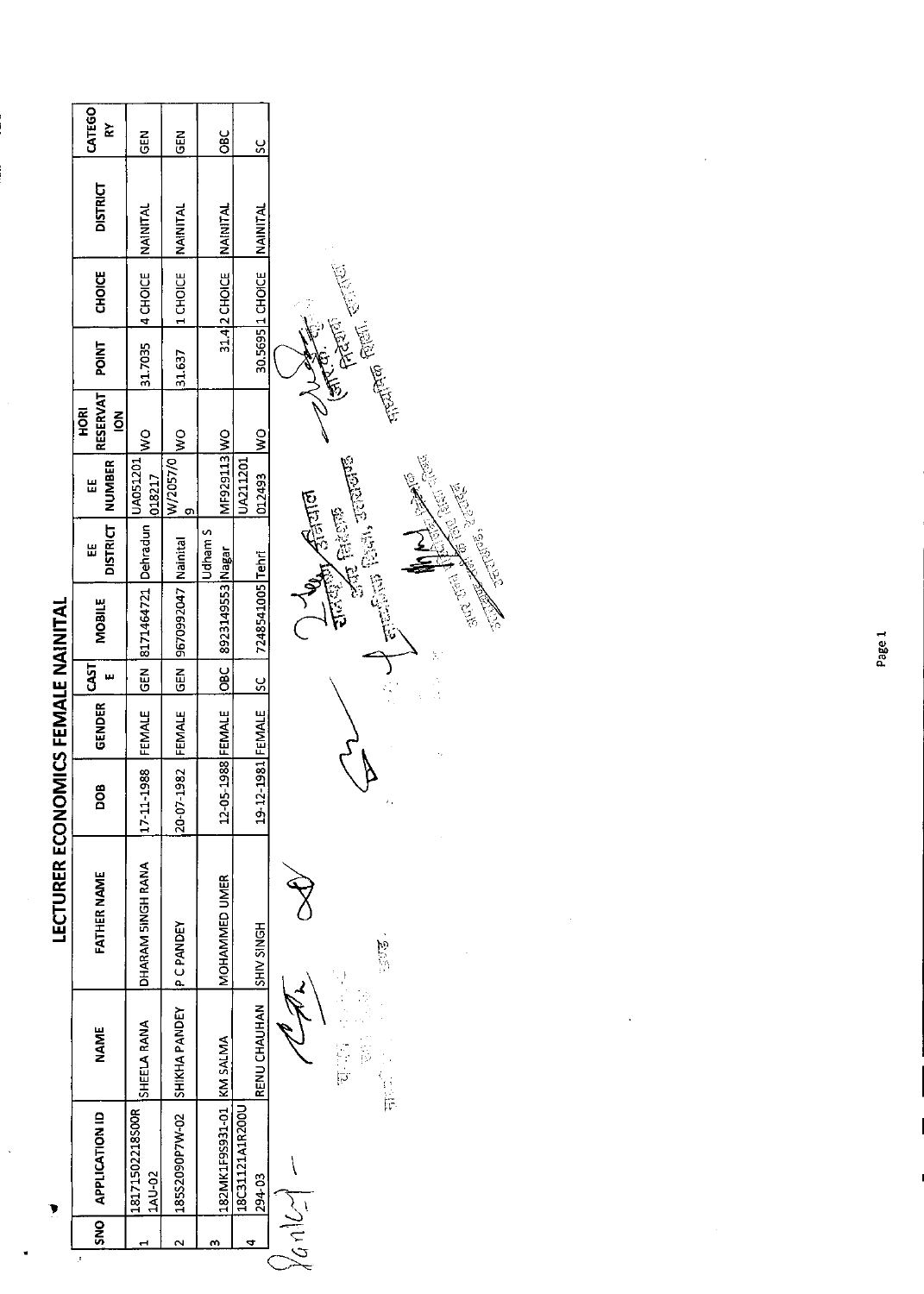$\ddot{\phantom{0}}$ 

ł,

| <b>NAME</b>              | <b>FATHER NAME</b> | ω<br><u>o</u>         | GENDER | <b>CAST</b><br>w | <b>MOBILE</b>               | <b>DISTRICT</b><br>Ш                                                                                                                                                                                                                                                                                                                                                                                                                        | <b>NUMBER</b><br>띮 | RESERVAT<br><b>HORI</b><br>$\overline{6}$ | <b>POINT</b> | <b>CHOICE</b>    | <b>DISTRICT</b>  | CATEGO<br>⋩ |
|--------------------------|--------------------|-----------------------|--------|------------------|-----------------------------|---------------------------------------------------------------------------------------------------------------------------------------------------------------------------------------------------------------------------------------------------------------------------------------------------------------------------------------------------------------------------------------------------------------------------------------------|--------------------|-------------------------------------------|--------------|------------------|------------------|-------------|
| SHEELA RANA              | DHARAM 5INGH RANA  | 1988<br>$17 - 11 - 1$ | FEMALE | $rac{6}{5}$      | 8171464721                  | Dehradun                                                                                                                                                                                                                                                                                                                                                                                                                                    | UA051201<br>018217 | $\frac{1}{2}$                             | 31.7035      | 4 CHOICE         | NAINITAL         | <b>GEN</b>  |
| SHIKHA PANDEY            | <b>PCPANDEY</b>    | 20-07-1982            | FEMALE | $\overline{5}$   | 9670992047 Nainital         |                                                                                                                                                                                                                                                                                                                                                                                                                                             | W/2057/0<br>ō      | $\geq$                                    | 31.637       | 1 CHOICE         | NAINITAL         | $\tilde{E}$ |
| 182MK1F9S931-01 KM SALMA | MOHAMMED UMER      | 12-05-1988 FEMALE     |        | $rac{c}{\sigma}$ | 8923149553 Nagar            | <b>Udham S</b>                                                                                                                                                                                                                                                                                                                                                                                                                              | MF929113 WO        |                                           |              | 31.4 2 CHOICE    | <b>INAINITAL</b> | <b>SEC</b>  |
| RENU CHAUHAN             | <b>SHIV SINGH</b>  | 19-12-1981 FEMALE     |        | <u>ပ္</u>        | 7248541005 Tehri            |                                                                                                                                                                                                                                                                                                                                                                                                                                             | UA211201<br>012493 | $\frac{1}{2}$                             |              | 30.5695 1 CHOICE | NAINITAL         | <u>sc</u>   |
| ご覧                       |                    | ż,                    |        |                  | May Dave<br><b>RECEIVED</b> | $\frac{1}{\sqrt{2}}\sum_{i=1}^{n} \frac{1}{\sqrt{2}}\sum_{i=1}^{n} \frac{1}{\sqrt{2}}\sum_{i=1}^{n} \frac{1}{\sqrt{2}}\sum_{i=1}^{n} \frac{1}{\sqrt{2}}\sum_{i=1}^{n} \frac{1}{\sqrt{2}}\sum_{i=1}^{n} \frac{1}{\sqrt{2}}\sum_{i=1}^{n} \frac{1}{\sqrt{2}}\sum_{i=1}^{n} \frac{1}{\sqrt{2}}\sum_{i=1}^{n} \frac{1}{\sqrt{2}}\sum_{i=1}^{n} \frac{1}{\sqrt{2}}\sum_{i=1}^{n}$<br>ARE ON THE STATE<br>$\sqrt{3}$ and<br><b>Article Basico</b> |                    | <b>PARTIE</b> ETA                         |              |                  |                  |             |

l,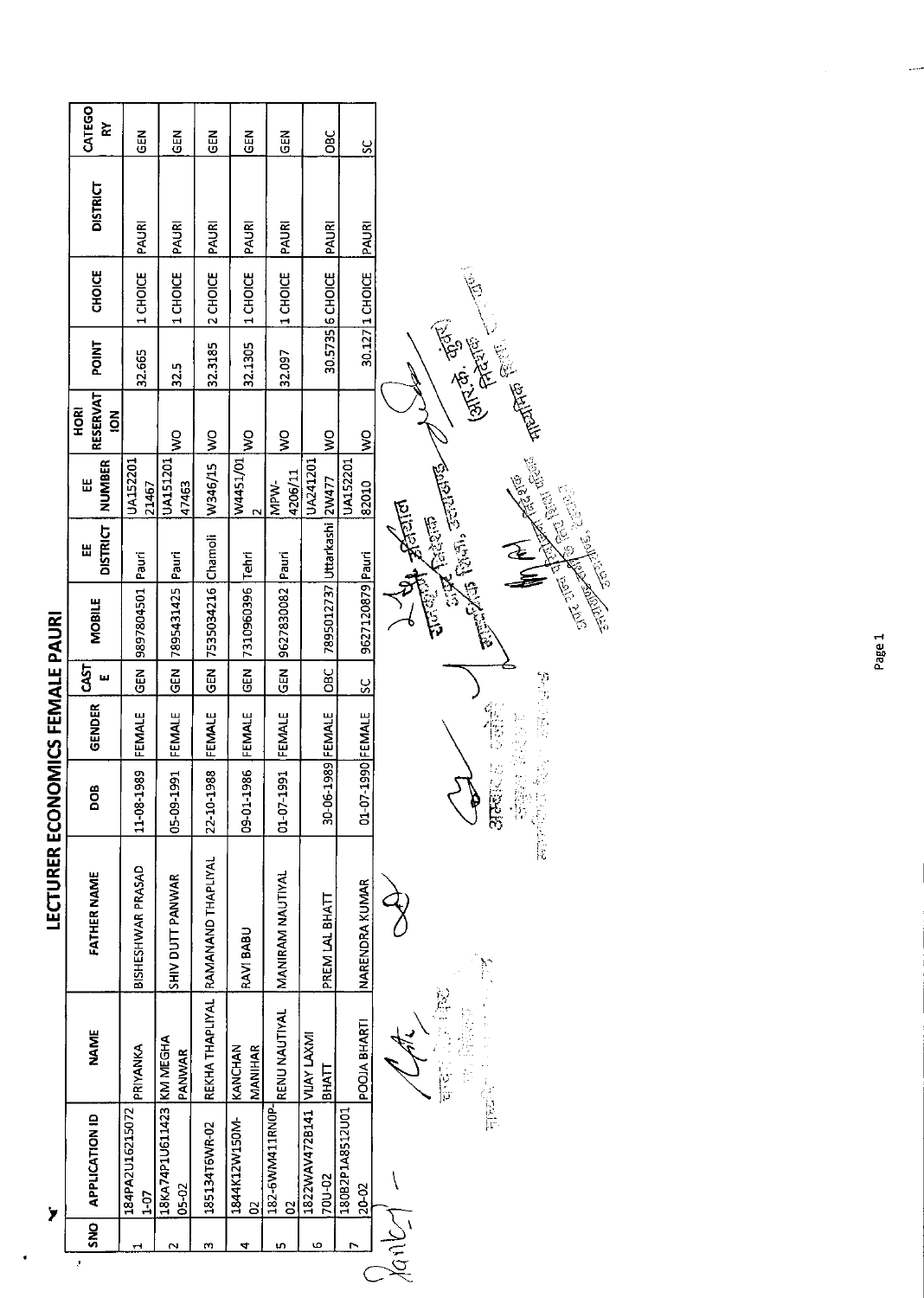LECTURER ECONOMICS FEMALE PAURI

 $\overline{\mathbf{y}}$ 

 $\bullet$ 

| CATEGO<br>⋩                       | $\frac{2}{9}$            | $\tilde{a}$                       | <b>GEN</b>                         | $\tilde{a}$                         | GEN                          | <b>SEC</b>                           | S                        |                                                                                                                                                                                                                                                                                                                                                                                  |
|-----------------------------------|--------------------------|-----------------------------------|------------------------------------|-------------------------------------|------------------------------|--------------------------------------|--------------------------|----------------------------------------------------------------------------------------------------------------------------------------------------------------------------------------------------------------------------------------------------------------------------------------------------------------------------------------------------------------------------------|
| <b>DISTRICT</b>                   | PAURI                    | PAURI                             | PAURI                              | PAURI                               | PAURI                        | PAURI                                | PAURI                    |                                                                                                                                                                                                                                                                                                                                                                                  |
| <b>CHOICE</b>                     | 1 CHOICE                 | 1 CHOICE                          | 2 CHOICE                           | 1 CHOICE                            | 1 CHOICE                     | 30.5735 6 CHOICE                     | 30.127 1 CHOICE          | $\left( 3\sqrt{2}, \frac{\sigma_1}{\sqrt{2}} , \frac{\sigma_2}{\sqrt{2}} , \frac{\sigma_3}{\sqrt{2}} , \ldots, \frac{\sigma_N}{\sqrt{2}} \right)$                                                                                                                                                                                                                                |
| <b>POINT</b>                      | 32.665                   | 32.5                              | 32.3185                            | 32.1305                             | 32.097                       |                                      |                          |                                                                                                                                                                                                                                                                                                                                                                                  |
| RESERVAT<br>HORI<br>$\frac{2}{5}$ |                          | Ş                                 |                                    | ş                                   | Ş                            | ş                                    | $\frac{1}{2}$            |                                                                                                                                                                                                                                                                                                                                                                                  |
| <b>NUMBER</b><br>出                | UA152201<br>21467        | <b>UA151201</b><br>47463          | W346/15 WO                         | W4451/01<br>$\overline{\mathbf{C}}$ | 4206/11<br>MPW-              | UA241201                             | <b>UA152201</b><br>82010 |                                                                                                                                                                                                                                                                                                                                                                                  |
| <b>DISTRICT</b><br>띱              | Pauri                    | Pauri                             |                                    | Tehri                               |                              | 7895012737 Uttarkashi 2W477          |                          | <b>Dubler'</b><br><b>City Reiter</b>                                                                                                                                                                                                                                                                                                                                             |
| MOBILE                            | 9897804501               | 7895431425                        | 7535034216 Chamoli                 | 7310960396                          | 9627830082 Pauri             |                                      | 9627120879 Pauri         | Exiliation of the Control of Control of Control of Control of Control of Control of Control of Control of Cont<br><b>CELERAT REAL SERIES</b><br>شان المناطقة التي المناطقة التي تعالى المناطقة التي تعالى المناطقة التي تعالى المناطقة التي تعالى المناطقة الت<br>مناطقة التي تعالى المناطقة التي تعالى المناطقة التي تعالى المناطقة التي تعالى المناطقة التي تعالى المناطقة الت |
| 55<br>ш                           | <b>GEN</b>               | GEN                               | <b>GEN</b>                         | $\tilde{c}$                         | $\frac{5}{3}$                | <b>OBC</b>                           | $\frac{8}{5}$            |                                                                                                                                                                                                                                                                                                                                                                                  |
| <b>GENDER</b>                     | FEMALE                   | FEMALE                            | FEMALE                             | FEMALE                              | FEMALE                       |                                      |                          | <b>SOFTWARE</b><br>军官。                                                                                                                                                                                                                                                                                                                                                           |
| ∞<br>g                            | 11-08-1989               | <b>L66</b><br>$0.5 - 0.3 - 1$     | 22-10-1988                         | 986<br><b>D9-01-1</b>               | <b>1661</b><br>$01 - 07 - 1$ | 30-06-1989 FEMALE                    | 01-07-1990 FEMALE        | 计调整 医静脉<br>376周以前<br>p                                                                                                                                                                                                                                                                                                                                                           |
| <b>FATHER NAME</b>                | <b>BISHESHWAR PRASAD</b> | SHIV DUTT PANWAR                  | REKHA THAPLIYAL RAMANAND THAPLIYAL | RAVI BABU                           | MANIRAM NAUTIYAL             | PREM LAL BHATT                       | <b>NARENDRA KUMAR</b>    | $\sum_{i=1}^{n}$                                                                                                                                                                                                                                                                                                                                                                 |
| <b>NAME</b>                       | PRIYANKA                 | PANWAR                            |                                    | MANIHAR<br>KANCHAN                  | <b>RENU NAUTIYAL</b>         | <b>BHATT</b>                         | POOJA BHARTI             | 2000年1月 1000年<br><b>HEART</b> Production                                                                                                                                                                                                                                                                                                                                         |
| <b>APPLICATION ID</b>             | 184PA2U16215072<br>1-07  | 18KA74P1U611423 KM MEGHA<br>05-02 | 185134T6WR-02                      | 1844K12W150M-<br>8                  | 182-6WM411RN0P-<br>8         | IRZZWAV472B141 VIJAY LAXMI<br>70U-02 | 180B2P1A8512U01<br>20-02 |                                                                                                                                                                                                                                                                                                                                                                                  |
| <b>SNO</b>                        | ᆏ                        | N                                 | m                                  | 4                                   | 5                            | Ю                                    | $\overline{ }$           |                                                                                                                                                                                                                                                                                                                                                                                  |
| ÿ                                 |                          |                                   |                                    |                                     |                              |                                      |                          | Anb                                                                                                                                                                                                                                                                                                                                                                              |

 $\ddot{\phantom{0}}$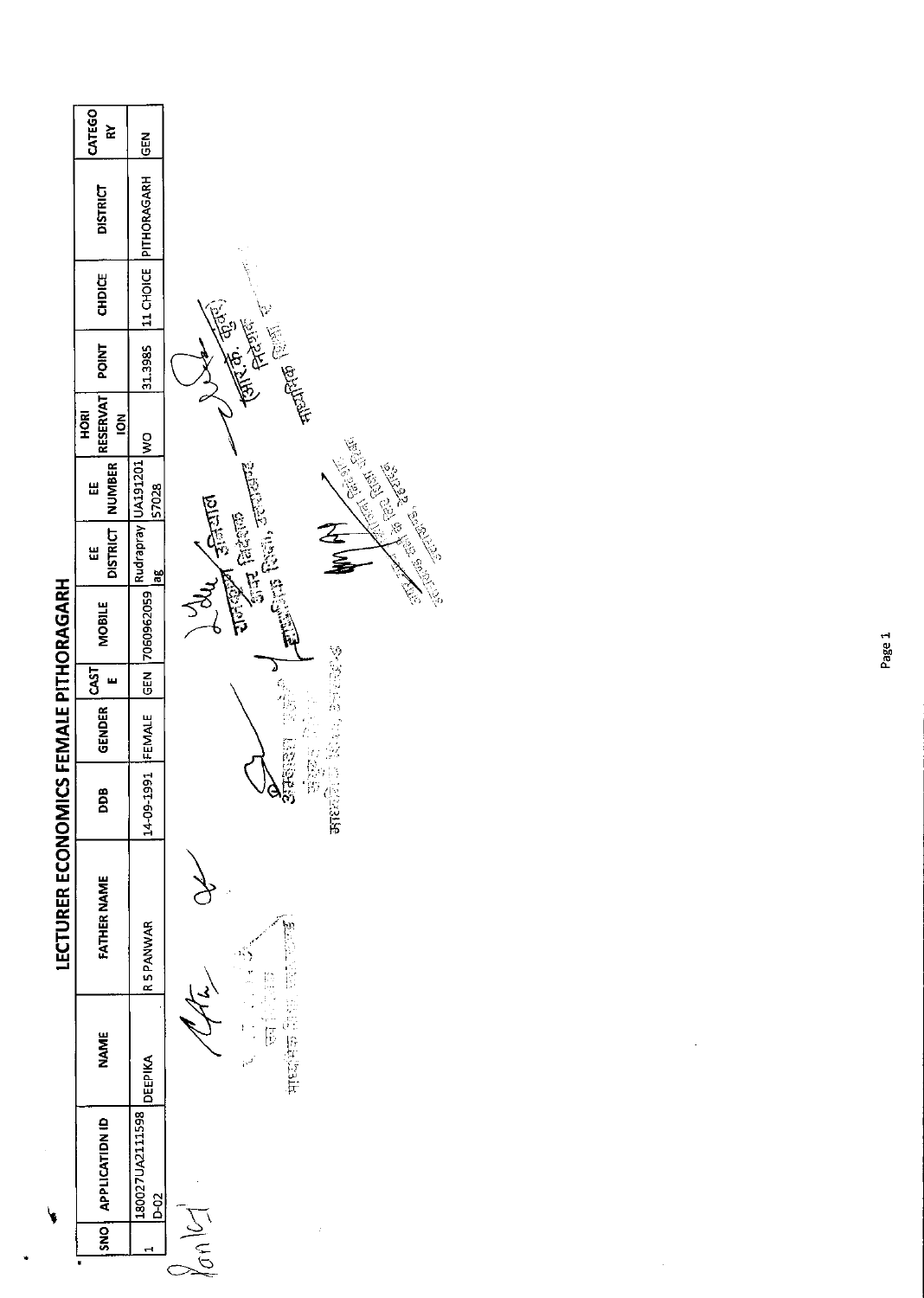|                        | <b>CATEGO</b><br>⋩                          | <b>MBD</b>                       |                                                                                                                                                                                                                                                                                                                      |
|------------------------|---------------------------------------------|----------------------------------|----------------------------------------------------------------------------------------------------------------------------------------------------------------------------------------------------------------------------------------------------------------------------------------------------------------------|
|                        | <b>DISTRICT</b>                             | PITHORAGARH                      |                                                                                                                                                                                                                                                                                                                      |
|                        | <b>CHDICE</b>                               | 11 CHOICE                        |                                                                                                                                                                                                                                                                                                                      |
|                        | POINT                                       | 31.3985                          | $\left(\overline{\mathbb{R}^{n}},\overline{\mathbb{Q}}^{(k)}\right)$<br><b>Heart of Comments</b><br>FARTER                                                                                                                                                                                                           |
|                        | <b>RESERVAT</b><br><b>HORI</b><br>$\vec{6}$ | $\frac{8}{2}$                    |                                                                                                                                                                                                                                                                                                                      |
|                        | NUMBER<br>Ш                                 | Rudrapray UA191201<br>57028      |                                                                                                                                                                                                                                                                                                                      |
|                        | <b>DISTRICT</b><br>띮                        | æ                                | <b>Contract Contract Contract Contract Contract Contract Contract Contract Contract Contract Contract Contract Contract Contract Contract Contract Contract Contract Contract Contract Contract Contract Contract Contract Contr</b><br><b>Ellin Rein, Franco</b><br><b>Runde Alliand</b><br>$\sqrt{2}$ fairly<br>飞鱼 |
| ICS FEMALE PITHORAGARH | <b>MOBILE</b>                               | GEN 7060962059                   |                                                                                                                                                                                                                                                                                                                      |
|                        | <b>CAST</b><br>ш                            |                                  | めんだいぶん<br>۵                                                                                                                                                                                                                                                                                                          |
|                        | <b>GENDER</b>                               | FEMALE                           |                                                                                                                                                                                                                                                                                                                      |
|                        | DDB                                         | 14-09-1991                       | ්<br>පැවත පරි<br>形物的<br>古代文学                                                                                                                                                                                                                                                                                         |
| <b>LECTURER ECONOM</b> | <b>FATHER NAME</b>                          | <b>RSPANWAR</b>                  |                                                                                                                                                                                                                                                                                                                      |
|                        | <b>NAME</b>                                 | DEEPIKA                          | $\frac{1}{\sqrt{2}}$<br>医血热管肝                                                                                                                                                                                                                                                                                        |
|                        | SNO   APPLICATIDN ID                        | 180027UA2111598<br>$\frac{5}{2}$ |                                                                                                                                                                                                                                                                                                                      |
|                        |                                             | $\mathbf{\mathbf{t}}$            | $\tilde{\mathcal{A}}$                                                                                                                                                                                                                                                                                                |
|                        |                                             |                                  |                                                                                                                                                                                                                                                                                                                      |

 $\bar{\bar{z}}$ 

 $\ddot{\phantom{0}}$ 

٦

 $\bar{\mathcal{A}}$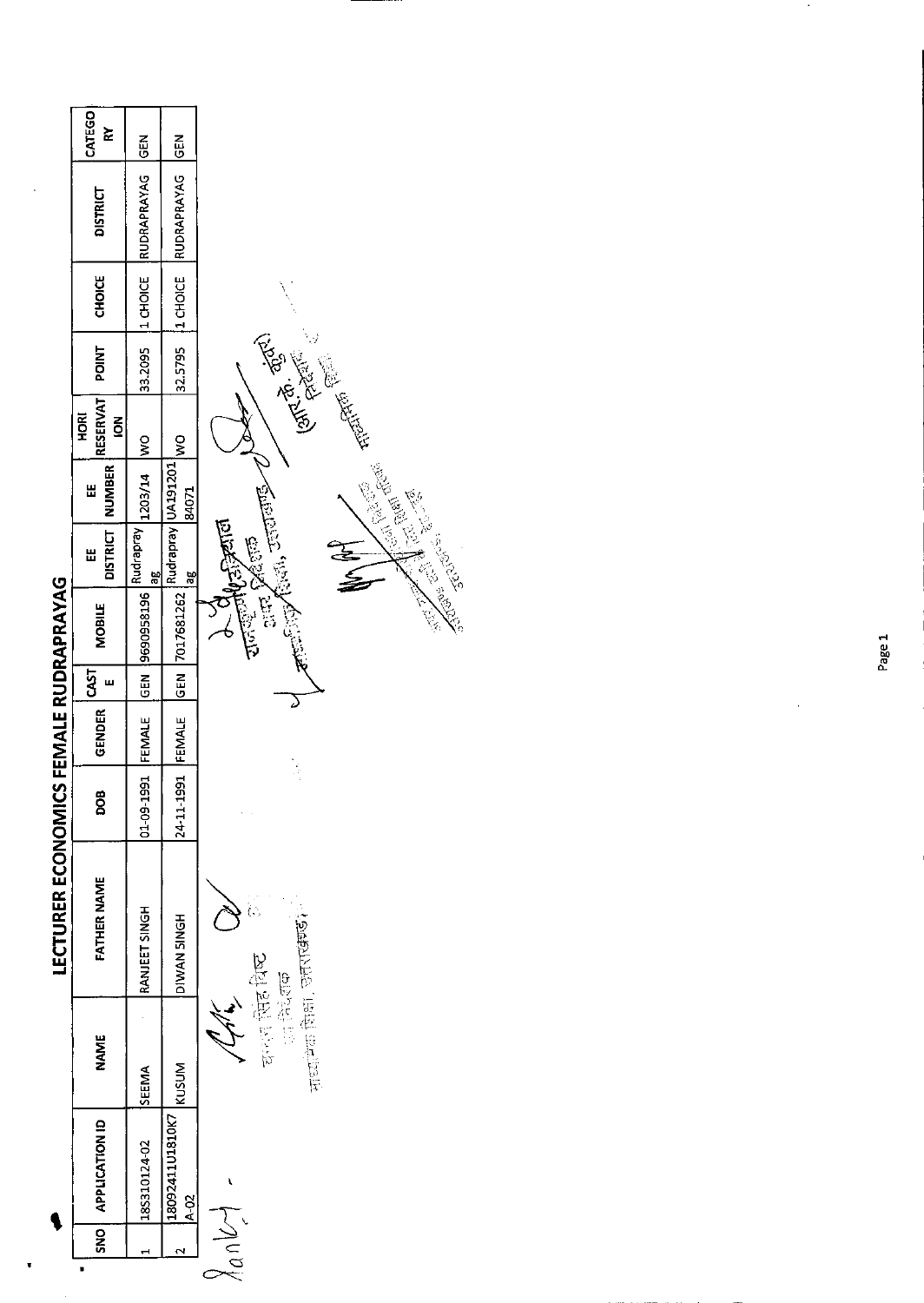|                                       | CATEGO<br>⋩                              | <b>GEN</b>         | <b>SEN</b>                  |                                                                                                                                                                                                                                                                                        |
|---------------------------------------|------------------------------------------|--------------------|-----------------------------|----------------------------------------------------------------------------------------------------------------------------------------------------------------------------------------------------------------------------------------------------------------------------------------|
|                                       | <b>DISTRICT</b>                          | <b>RUDRAPRAYAG</b> | RUDRAPRAYAG                 |                                                                                                                                                                                                                                                                                        |
|                                       | <b>CHOICE</b>                            | 1 CHOICE           | 11 CHOICE                   |                                                                                                                                                                                                                                                                                        |
|                                       | <b>POINT</b>                             | 33.2095            | 32.5795                     |                                                                                                                                                                                                                                                                                        |
|                                       | <b>RESERVAT</b><br>HORI<br>$\frac{2}{5}$ | $\frac{8}{2}$      | $\frac{8}{2}$               | <b>Communication</b>                                                                                                                                                                                                                                                                   |
|                                       | <b>NUMBER</b><br>Ш                       | 1203/14            | Rudrapray UA191201<br>84071 |                                                                                                                                                                                                                                                                                        |
|                                       | <b>DISTRICT</b><br>띮                     | Rudrapray<br>ag    | æ                           | $\mathcal{A}^{\text{max}}_{\text{max}}, \mathcal{A}^{\text{max}}_{\text{max}}$<br>and Man                                                                                                                                                                                              |
|                                       | <b>MOBILE</b>                            | 19690958196        | GEN 7017681262              | <b>Contract of the Contract of Contract of the Contract of Contract of Contract of Contract of Contract of Contract of Contract of Contract of Contract of Contract of Contract of Contract of Contract of Contract of Contract </b><br><i>चाल्ड्ड्लाए</i> क्स्ट्रान<br><b>AND AND</b> |
|                                       | CAST<br>ш                                | <b>SEN</b>         |                             |                                                                                                                                                                                                                                                                                        |
|                                       | <b>GENDER</b>                            | FEMALE             | FEMALE                      |                                                                                                                                                                                                                                                                                        |
|                                       | DOB                                      | 01-09-1991         | 24-11-1991                  | $\frac{1}{2}$                                                                                                                                                                                                                                                                          |
| LECTURER ECONOMICS FEMALE RUDRAPRAYAG | <b>FATHER NAME</b>                       | RANJEET SINGH      | DIWAN SINGH                 | .<br>(.,<br>माध्यान शिक्षा , उत्तराखण्डी                                                                                                                                                                                                                                               |
|                                       | <b>NAME</b>                              | <b>SEEMA</b>       | KUSUM                       | काल सिंह विष्ट<br><b>1000 年度 有限</b>                                                                                                                                                                                                                                                    |
|                                       | <b>APPLICATION ID</b>                    | 185310124-02       | 18092411U1810K7<br>4-02     |                                                                                                                                                                                                                                                                                        |
|                                       | <b>SNO</b>                               |                    | Ν                           | $\frac{1}{2}$                                                                                                                                                                                                                                                                          |

 $\cdot$ 

Page 1

ï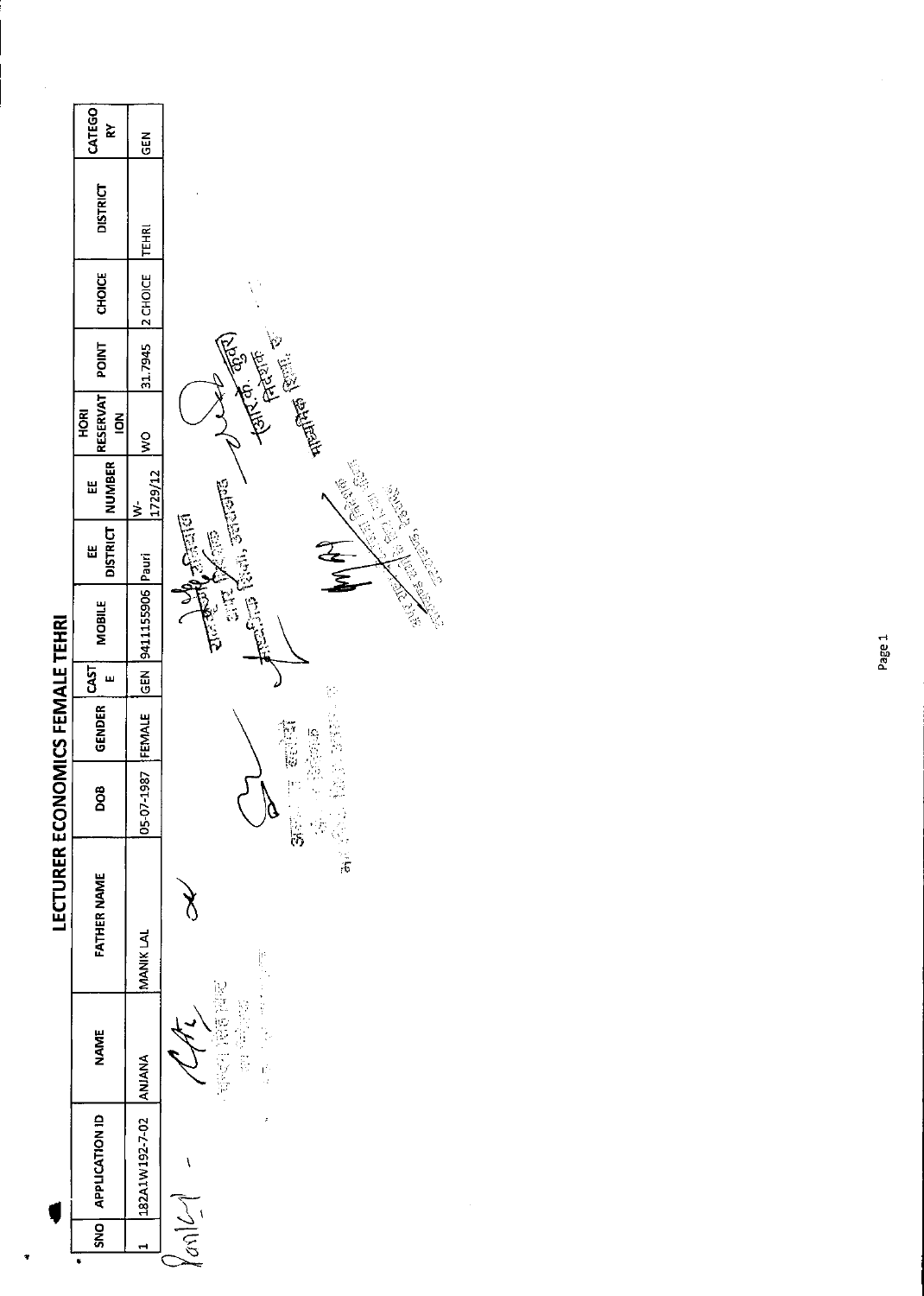|                                 | CATEGO<br>≿                                     | <b>GEN</b>               |                                                                                                                                                                                                                                                                                                             |
|---------------------------------|-------------------------------------------------|--------------------------|-------------------------------------------------------------------------------------------------------------------------------------------------------------------------------------------------------------------------------------------------------------------------------------------------------------|
|                                 | <b>DISTRICT</b>                                 | <b>TEHRI</b>             |                                                                                                                                                                                                                                                                                                             |
|                                 | <b>CHOICE</b>                                   | 2 CHOICE                 |                                                                                                                                                                                                                                                                                                             |
|                                 | <b>TVIID4</b>                                   | 31.7945                  |                                                                                                                                                                                                                                                                                                             |
|                                 | <b>RESERVAT</b><br><b>HORI</b><br>$\frac{8}{5}$ | $\frac{8}{3}$            | $\begin{split} &\text{rank}(\mathfrak{D},\mathbb{Q})\\ &\text{rank}(\mathfrak{D})\\ &\text{rank}(\mathbb{Q})\\ &\text{rank}(\mathbb{Q})\end{split}$                                                                                                                                                         |
|                                 | NUMBER  <br>Ш                                   | 1729/12<br>$\frac{1}{2}$ |                                                                                                                                                                                                                                                                                                             |
|                                 | <b>DISTRICT</b><br>Ш                            |                          | Real, scribed<br>$\frac{1}{2}$<br>不定的<br>$rac{1}{2}$                                                                                                                                                                                                                                                        |
|                                 | <b>MOBILE</b>                                   | GEN 9411155906 Pauri     | <b>Contract Contract Contract Contract Contract Contract Contract Contract Contract Contract Contract Contract Contract Contract Contract Contract Contract Contract Contract Contract Contract Contract Contract Contract Contr</b><br><b>REAGEMENT</b><br><b>SERVER</b><br>$\frac{1}{2}$<br>$\frac{1}{2}$ |
|                                 | CAST<br>ш                                       |                          |                                                                                                                                                                                                                                                                                                             |
|                                 | GENDER                                          | FEMALE                   | 医主要形成                                                                                                                                                                                                                                                                                                       |
|                                 | BOG                                             | 05-07-1987               | P)<br>学习学<br>ू<br>अन्न<br>$\delta$                                                                                                                                                                                                                                                                          |
| LECTURER ECONOMICS FEMALE TEHRI | <b>FATHER NAME</b>                              | MANIK LAL                | ा<br>सर्वे<br>ý                                                                                                                                                                                                                                                                                             |
|                                 | <b>NAME</b>                                     |                          | 中国 计自动程序<br>医红细胞 计数据<br>ić<br>H                                                                                                                                                                                                                                                                             |
|                                 | SNO APPLICATION ID                              | 182A1W192-7-02 ANJANA    | Í                                                                                                                                                                                                                                                                                                           |
|                                 |                                                 | ᆏ                        | $\gamma_{\alpha\alpha}$                                                                                                                                                                                                                                                                                     |
|                                 | ۰                                               |                          |                                                                                                                                                                                                                                                                                                             |

 $\frac{1}{2}$ 

 $\mathcal{L}$ 

 $\ddot{\phantom{1}}$ 

Ŷ,